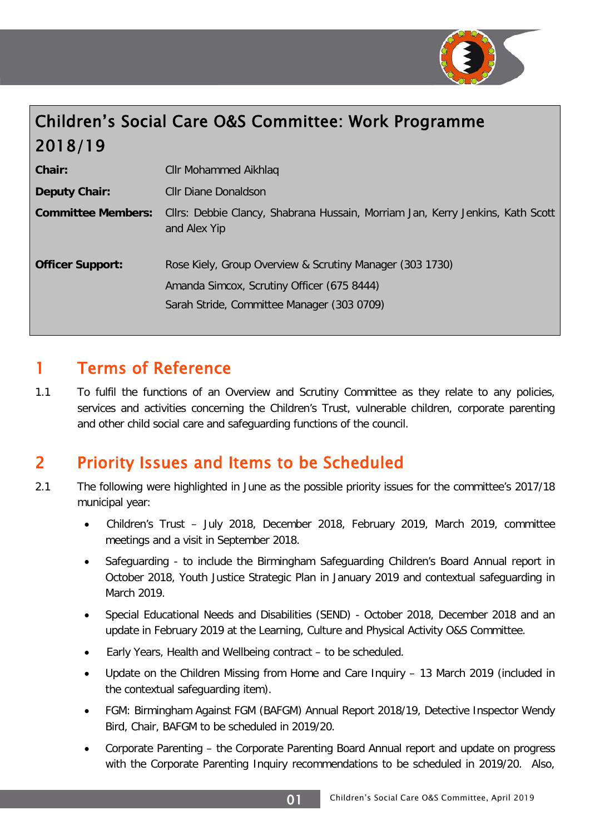

# Children's Social Care O&S Committee: Work Programme 2018/19

| <b>Chair:</b>             | Cllr Mohammed Aikhlaq                                                                                                                                |
|---------------------------|------------------------------------------------------------------------------------------------------------------------------------------------------|
| Deputy Chair:             | Cllr Diane Donaldson                                                                                                                                 |
| <b>Committee Members:</b> | Cllrs: Debbie Clancy, Shabrana Hussain, Morriam Jan, Kerry Jenkins, Kath Scott<br>and Alex Yip                                                       |
| <b>Officer Support:</b>   | Rose Kiely, Group Overview & Scrutiny Manager (303 1730)<br>Amanda Simcox, Scrutiny Officer (675 8444)<br>Sarah Stride, Committee Manager (303 0709) |

### 1 Terms of Reference

1.1 To fulfil the functions of an Overview and Scrutiny Committee as they relate to any policies, services and activities concerning the Children's Trust, vulnerable children, corporate parenting and other child social care and safeguarding functions of the council.

## 2 Priority Issues and Items to be Scheduled

- 2.1 The following were highlighted in June as the possible priority issues for the committee's 2017/18 municipal year:
	- Children's Trust July 2018, December 2018, February 2019, March 2019, committee meetings and a visit in September 2018.
	- Safeguarding to include the Birmingham Safeguarding Children's Board Annual report in October 2018, Youth Justice Strategic Plan in January 2019 and contextual safeguarding in March 2019.
	- Special Educational Needs and Disabilities (SEND) October 2018, December 2018 and an update in February 2019 at the Learning, Culture and Physical Activity O&S Committee.
	- Early Years, Health and Wellbeing contract to be scheduled.
	- Update on the Children Missing from Home and Care Inquiry 13 March 2019 (included in the contextual safeguarding item).
	- FGM: Birmingham Against FGM (BAFGM) Annual Report 2018/19, Detective Inspector Wendy Bird, Chair, BAFGM to be scheduled in 2019/20.
	- Corporate Parenting the Corporate Parenting Board Annual report and update on progress with the Corporate Parenting Inquiry recommendations to be scheduled in 2019/20. Also,

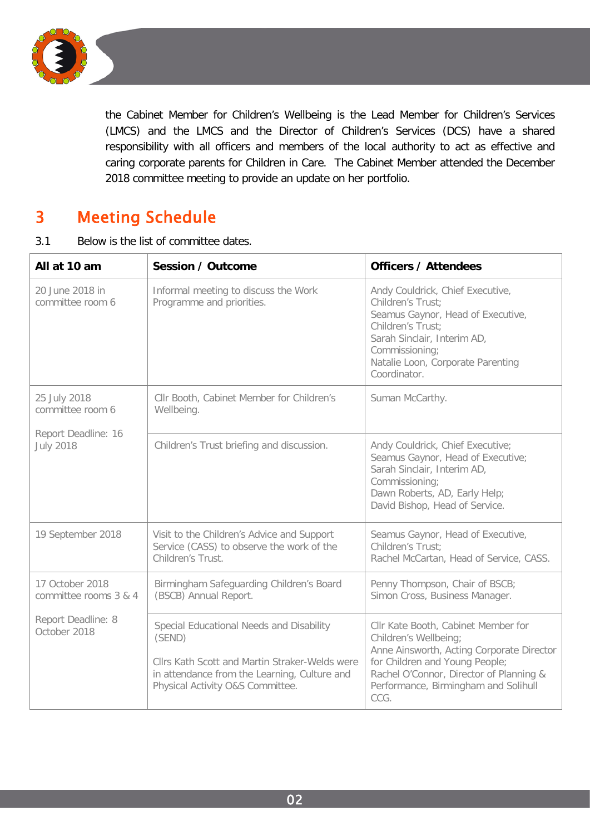

the Cabinet Member for Children's Wellbeing is the Lead Member for Children's Services (LMCS) and the LMCS and the Director of Children's Services (DCS) have a shared responsibility with all officers and members of the local authority to act as effective and caring corporate parents for Children in Care. The Cabinet Member attended the December 2018 committee meeting to provide an update on her portfolio.

## 3 Meeting Schedule

3.1 Below is the list of committee dates.

| All at 10 am                             | <b>Session / Outcome</b>                                                                                                                                                                 | <b>Officers / Attendees</b>                                                                                                                                                                                                            |
|------------------------------------------|------------------------------------------------------------------------------------------------------------------------------------------------------------------------------------------|----------------------------------------------------------------------------------------------------------------------------------------------------------------------------------------------------------------------------------------|
| 20 June 2018 in<br>committee room 6      | Informal meeting to discuss the Work<br>Programme and priorities.                                                                                                                        | Andy Couldrick, Chief Executive,<br>Children's Trust:<br>Seamus Gaynor, Head of Executive,<br>Children's Trust:<br>Sarah Sinclair, Interim AD,<br>Commissioning;<br>Natalie Loon, Corporate Parenting<br>Coordinator.                  |
| 25 July 2018<br>committee room 6         | Cllr Booth, Cabinet Member for Children's<br>Wellbeing.                                                                                                                                  | Suman McCarthy.                                                                                                                                                                                                                        |
| Report Deadline: 16<br><b>July 2018</b>  | Children's Trust briefing and discussion.                                                                                                                                                | Andy Couldrick, Chief Executive;<br>Seamus Gaynor, Head of Executive;<br>Sarah Sinclair, Interim AD,<br>Commissioning;<br>Dawn Roberts, AD, Early Help;<br>David Bishop, Head of Service.                                              |
| 19 September 2018                        | Visit to the Children's Advice and Support<br>Service (CASS) to observe the work of the<br>Children's Trust.                                                                             | Seamus Gaynor, Head of Executive,<br>Children's Trust:<br>Rachel McCartan, Head of Service, CASS.                                                                                                                                      |
| 17 October 2018<br>committee rooms 3 & 4 | Birmingham Safeguarding Children's Board<br>(BSCB) Annual Report.                                                                                                                        | Penny Thompson, Chair of BSCB;<br>Simon Cross, Business Manager.                                                                                                                                                                       |
| Report Deadline: 8<br>October 2018       | Special Educational Needs and Disability<br>(SEND)<br>Cllrs Kath Scott and Martin Straker-Welds were<br>in attendance from the Learning, Culture and<br>Physical Activity O&S Committee. | Cllr Kate Booth, Cabinet Member for<br>Children's Wellbeing;<br>Anne Ainsworth, Acting Corporate Director<br>for Children and Young People;<br>Rachel O'Connor, Director of Planning &<br>Performance, Birmingham and Solihull<br>CCG. |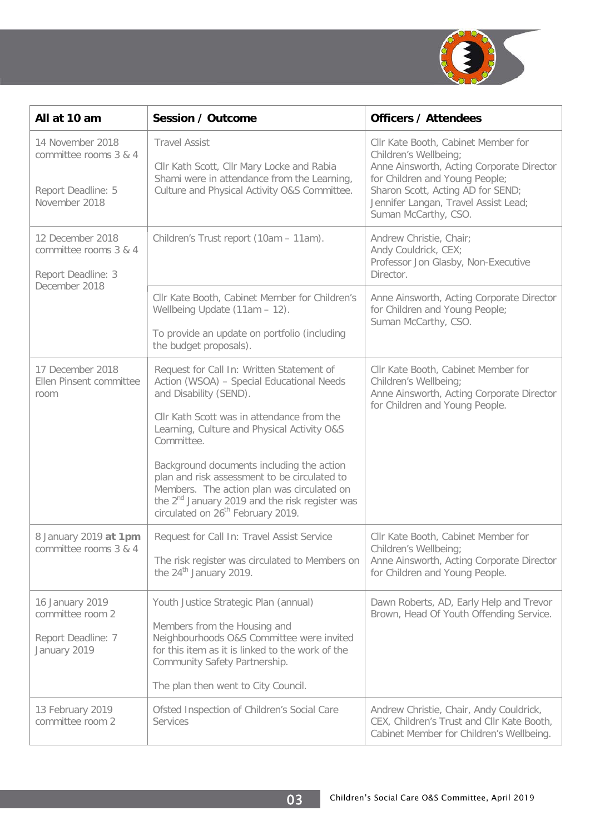

| All at 10 am                                                                     | Session / Outcome                                                                                                                                                                                                                                                                                                                                                                                                                                                                     | <b>Officers / Attendees</b>                                                                                                                                                                                                                      |
|----------------------------------------------------------------------------------|---------------------------------------------------------------------------------------------------------------------------------------------------------------------------------------------------------------------------------------------------------------------------------------------------------------------------------------------------------------------------------------------------------------------------------------------------------------------------------------|--------------------------------------------------------------------------------------------------------------------------------------------------------------------------------------------------------------------------------------------------|
| 14 November 2018<br>committee rooms 3 & 4<br>Report Deadline: 5<br>November 2018 | <b>Travel Assist</b><br>Cllr Kath Scott, Cllr Mary Locke and Rabia<br>Shami were in attendance from the Learning,<br>Culture and Physical Activity O&S Committee.                                                                                                                                                                                                                                                                                                                     | Cllr Kate Booth, Cabinet Member for<br>Children's Wellbeing;<br>Anne Ainsworth, Acting Corporate Director<br>for Children and Young People;<br>Sharon Scott, Acting AD for SEND;<br>Jennifer Langan, Travel Assist Lead;<br>Suman McCarthy, CSO. |
| 12 December 2018<br>committee rooms 3 & 4<br>Report Deadline: 3<br>December 2018 | Children's Trust report (10am - 11am).                                                                                                                                                                                                                                                                                                                                                                                                                                                | Andrew Christie, Chair;<br>Andy Couldrick, CEX;<br>Professor Jon Glasby, Non-Executive<br>Director.                                                                                                                                              |
|                                                                                  | Cllr Kate Booth, Cabinet Member for Children's<br>Wellbeing Update (11am - 12).<br>To provide an update on portfolio (including<br>the budget proposals).                                                                                                                                                                                                                                                                                                                             | Anne Ainsworth, Acting Corporate Director<br>for Children and Young People;<br>Suman McCarthy, CSO.                                                                                                                                              |
| 17 December 2018<br>Ellen Pinsent committee<br>room                              | Request for Call In: Written Statement of<br>Action (WSOA) - Special Educational Needs<br>and Disability (SEND).<br>Cllr Kath Scott was in attendance from the<br>Learning, Culture and Physical Activity O&S<br>Committee.<br>Background documents including the action<br>plan and risk assessment to be circulated to<br>Members. The action plan was circulated on<br>the 2 <sup>nd</sup> January 2019 and the risk register was<br>circulated on 26 <sup>th</sup> February 2019. | Cllr Kate Booth, Cabinet Member for<br>Children's Wellbeing;<br>Anne Ainsworth, Acting Corporate Director<br>for Children and Young People.                                                                                                      |
| 8 January 2019 at 1pm<br>committee rooms 3 & 4                                   | Request for Call In: Travel Assist Service<br>The risk register was circulated to Members on<br>the 24 <sup>th</sup> January 2019.                                                                                                                                                                                                                                                                                                                                                    | Cllr Kate Booth, Cabinet Member for<br>Children's Wellbeing;<br>Anne Ainsworth, Acting Corporate Director<br>for Children and Young People.                                                                                                      |
| 16 January 2019<br>committee room 2<br>Report Deadline: 7<br>January 2019        | Youth Justice Strategic Plan (annual)<br>Members from the Housing and<br>Neighbourhoods O&S Committee were invited<br>for this item as it is linked to the work of the<br>Community Safety Partnership.<br>The plan then went to City Council.                                                                                                                                                                                                                                        | Dawn Roberts, AD, Early Help and Trevor<br>Brown, Head Of Youth Offending Service.                                                                                                                                                               |
| 13 February 2019<br>committee room 2                                             | Ofsted Inspection of Children's Social Care<br>Services                                                                                                                                                                                                                                                                                                                                                                                                                               | Andrew Christie, Chair, Andy Couldrick,<br>CEX, Children's Trust and Cllr Kate Booth,<br>Cabinet Member for Children's Wellbeing.                                                                                                                |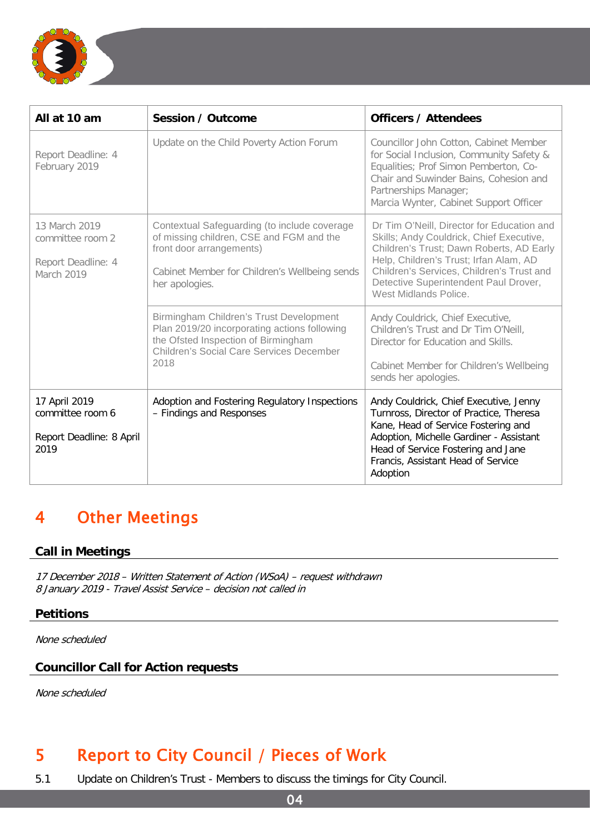

| All at 10 am                                                          | Session / Outcome                                                                                                                                                                         | <b>Officers / Attendees</b>                                                                                                                                                                                                                                                                 |
|-----------------------------------------------------------------------|-------------------------------------------------------------------------------------------------------------------------------------------------------------------------------------------|---------------------------------------------------------------------------------------------------------------------------------------------------------------------------------------------------------------------------------------------------------------------------------------------|
| Report Deadline: 4<br>February 2019                                   | Update on the Child Poverty Action Forum                                                                                                                                                  | Councillor John Cotton, Cabinet Member<br>for Social Inclusion, Community Safety &<br>Equalities; Prof Simon Pemberton, Co-<br>Chair and Suwinder Bains, Cohesion and<br>Partnerships Manager;<br>Marcia Wynter, Cabinet Support Officer                                                    |
| 13 March 2019<br>committee room 2<br>Report Deadline: 4<br>March 2019 | Contextual Safeguarding (to include coverage<br>of missing children, CSE and FGM and the<br>front door arrangements)<br>Cabinet Member for Children's Wellbeing sends<br>her apologies.   | Dr Tim O'Neill, Director for Education and<br>Skills; Andy Couldrick, Chief Executive,<br>Children's Trust; Dawn Roberts, AD Early<br>Help, Children's Trust; Irfan Alam, AD<br>Children's Services, Children's Trust and<br>Detective Superintendent Paul Drover,<br>West Midlands Police. |
|                                                                       | Birmingham Children's Trust Development<br>Plan 2019/20 incorporating actions following<br>the Ofsted Inspection of Birmingham<br><b>Children's Social Care Services December</b><br>2018 | Andy Couldrick, Chief Executive,<br>Children's Trust and Dr Tim O'Neill,<br>Director for Education and Skills.<br>Cabinet Member for Children's Wellbeing<br>sends her apologies.                                                                                                           |
| 17 April 2019<br>committee room 6<br>Report Deadline: 8 April<br>2019 | Adoption and Fostering Regulatory Inspections<br>- Findings and Responses                                                                                                                 | Andy Couldrick, Chief Executive, Jenny<br>Turnross, Director of Practice, Theresa<br>Kane, Head of Service Fostering and<br>Adoption, Michelle Gardiner - Assistant<br>Head of Service Fostering and Jane<br>Francis, Assistant Head of Service<br>Adoption                                 |

## 4 Other Meetings

#### **Call in Meetings**

17 December 2018 – Written Statement of Action (WSoA) – request withdrawn 8 January 2019 - Travel Assist Service – decision not called in

#### **Petitions**

None scheduled

#### **Councillor Call for Action requests**

None scheduled

### 5 Report to City Council / Pieces of Work

5.1 Update on Children's Trust - Members to discuss the timings for City Council.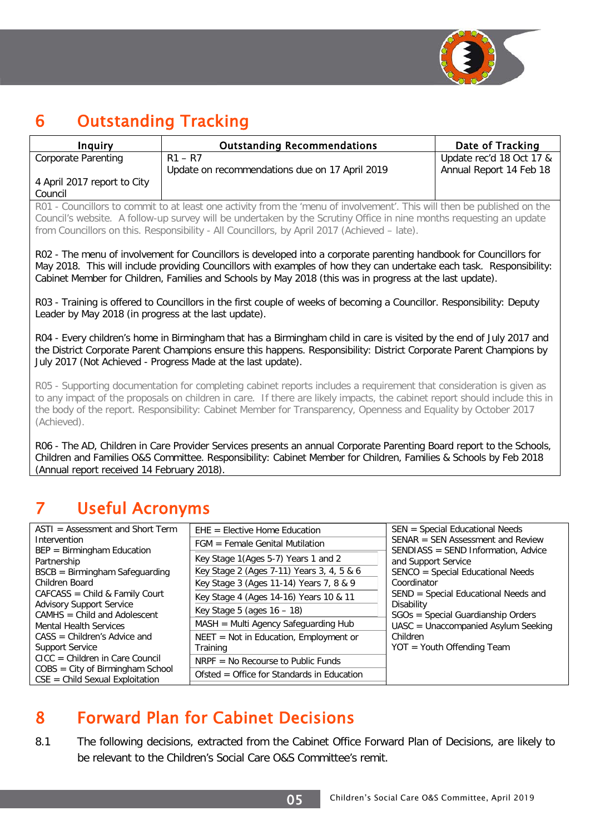

## 6 Outstanding Tracking

| Inguiry                     | <b>Outstanding Recommendations</b>             | Date of Tracking         |
|-----------------------------|------------------------------------------------|--------------------------|
| Corporate Parenting         | $R1 - R7$                                      | Update rec'd 18 Oct 17 & |
|                             | Update on recommendations due on 17 April 2019 | Annual Report 14 Feb 18  |
| 4 April 2017 report to City |                                                |                          |
| Council                     |                                                |                          |

R01 - Councillors to commit to at least one activity from the 'menu of involvement'. This will then be published on the Council's website. A follow-up survey will be undertaken by the Scrutiny Office in nine months requesting an update from Councillors on this. Responsibility - All Councillors, by April 2017 (Achieved – late).

R02 - The menu of involvement for Councillors is developed into a corporate parenting handbook for Councillors for May 2018. This will include providing Councillors with examples of how they can undertake each task. Responsibility: Cabinet Member for Children, Families and Schools by May 2018 (this was in progress at the last update).

R03 - Training is offered to Councillors in the first couple of weeks of becoming a Councillor. Responsibility: Deputy Leader by May 2018 (in progress at the last update).

R04 - Every children's home in Birmingham that has a Birmingham child in care is visited by the end of July 2017 and the District Corporate Parent Champions ensure this happens. Responsibility: District Corporate Parent Champions by July 2017 (Not Achieved - Progress Made at the last update).

R05 - Supporting documentation for completing cabinet reports includes a requirement that consideration is given as to any impact of the proposals on children in care. If there are likely impacts, the cabinet report should include this in the body of the report. Responsibility: Cabinet Member for Transparency, Openness and Equality by October 2017 (Achieved).

R06 - The AD, Children in Care Provider Services presents an annual Corporate Parenting Board report to the Schools, Children and Families O&S Committee. Responsibility: Cabinet Member for Children, Families & Schools by Feb 2018 (Annual report received 14 February 2018).

## 7 Useful Acronyms

| $ASTI = Assessment and Short Term$                                                                    | $EHE = Electric Home Education$                                                                                             | SEN = Special Educational Needs                                                                                |
|-------------------------------------------------------------------------------------------------------|-----------------------------------------------------------------------------------------------------------------------------|----------------------------------------------------------------------------------------------------------------|
| Intervention                                                                                          | $FGM = Female$ Genital Mutilation                                                                                           | $SENAR = SEN Assessment and Review$                                                                            |
| $BEP = Birmingham Education$<br>Partnership<br>$BSCB = Birmingham Safeguarding$<br>Children Board     | Key Stage 1(Ages 5-7) Years 1 and 2<br>Key Stage 2 (Ages 7-11) Years 3, 4, 5 & 6<br>Key Stage 3 (Ages 11-14) Years 7, 8 & 9 | SENDIASS = SEND Information, Advice<br>and Support Service<br>SENCO = Special Educational Needs<br>Coordinator |
| $CAFCASS = Child & Family Court$<br><b>Advisory Support Service</b><br>$CAMHS = Child and Adolescent$ | Key Stage 4 (Ages 14-16) Years 10 & 11<br>Key Stage 5 (ages $16 - 18$ )                                                     | SEND = Special Educational Needs and<br>Disability<br>SGOs = Special Guardianship Orders                       |
| <b>Mental Health Services</b>                                                                         | $MASH = Multi Agency Safeguarding Hub$                                                                                      | UASC = Unaccompanied Asylum Seeking                                                                            |
| $CASS = Children's Advice and$<br><b>Support Service</b>                                              | $NEET = Not in Education, Embloyment or$<br>Training                                                                        | Children<br>$YOT = Youth Officialing Team$                                                                     |
| $CICC = Children in Care Council$                                                                     | $NRPF = No$ Recourse to Public Funds                                                                                        |                                                                                                                |
| $COBS = City of Birmingham School$<br>$CSE = Child$ Sexual Exploitation                               | Ofsted $=$ Office for Standards in Education                                                                                |                                                                                                                |

## 8 Forward Plan for Cabinet Decisions

8.1 The following decisions, extracted from the Cabinet Office Forward Plan of Decisions, are likely to be relevant to the Children's Social Care O&S Committee's remit.